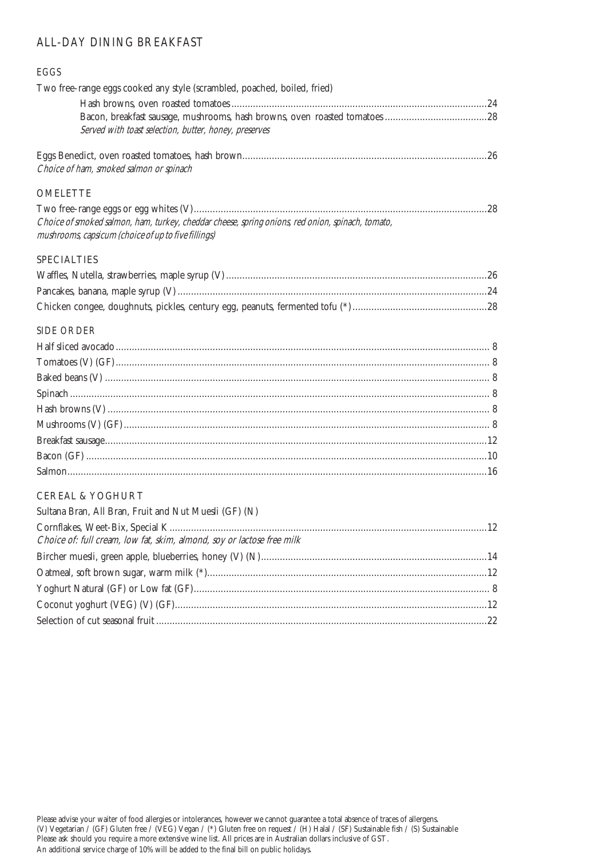### ALL-DAY DINING BREAKFAST

# EGGS Two free-range eggs cooked any style (scrambled, poached, boiled, fried) Hash browns, oven roasted tomatoes ...............................................................................................24 Bacon, breakfast sausage, mushrooms, hash browns, oven roasted tomatoes ......................................28 Served with toast selection, butter, honey, preserves Eggs Benedict, oven roasted tomatoes, hash brown...........................................................................................26 Choice of ham, smoked salmon or spinach OMELETTE Two free-range eggs or egg whites (V).............................................................................................................28 Choice of smoked salmon, ham, turkey, cheddar cheese, spring onions, red onion, spinach, tomato, mushrooms, capsicum (choice of up to five fillings) SPECIALTIES Waffles, Nutella, strawberries, maple syrup (V).................................................................................................26 Pancakes, banana, maple syrup (V) ...................................................................................................................24 Chicken congee, doughnuts, pickles, century egg, peanuts, fermented tofu (\*)..................................................28 SIDE ORDER Half sliced avocado........................................................................................................................................... 8 Tomatoes (V) (GF)........................................................................................................................................... 8 Baked beans (V) ............................................................................................................................................... 8 Spinach ............................................................................................................................................................ 8 Hash browns (V) .............................................................................................................................................. 8 Mushrooms (V) (GF)........................................................................................................................................ 8 Breakfast sausage..............................................................................................................................................12 Bacon (GF) .....................................................................................................................................................10 Salmon............................................................................................................................................................16 CEREAL & YOGHURT Sultana Bran, All Bran, Fruit and Nut Muesli (GF) (N) Cornflakes, Weet-Bix, Special K......................................................................................................................12 Choice of: full cream, low fat, skim, almond, soy or lactose free milk Bircher muesli, green apple, blueberries, honey (V) (N)....................................................................................14 Oatmeal, soft brown sugar, warm milk (\*)........................................................................................................12

Yoghurt Natural (GF) or Low fat (GF).............................................................................................................. 8 Coconut yoghurt (VEG) (V) (GF)....................................................................................................................12 Selection of cut seasonal fruit ...........................................................................................................................22

Please advise your waiter of food allergies or intolerances, however we cannot guarantee a total absence of traces of allergens. (V) Vegetarian / (GF) Gluten free / (VEG) Vegan / (\*) Gluten free on request / (H) Halal / (SF) Sustainable fish / (S) Sustainable Please ask should you require a more extensive wine list. All prices are in Australian dollars inclusive of GST. An additional service charge of 10% will be added to the final bill on public holidays.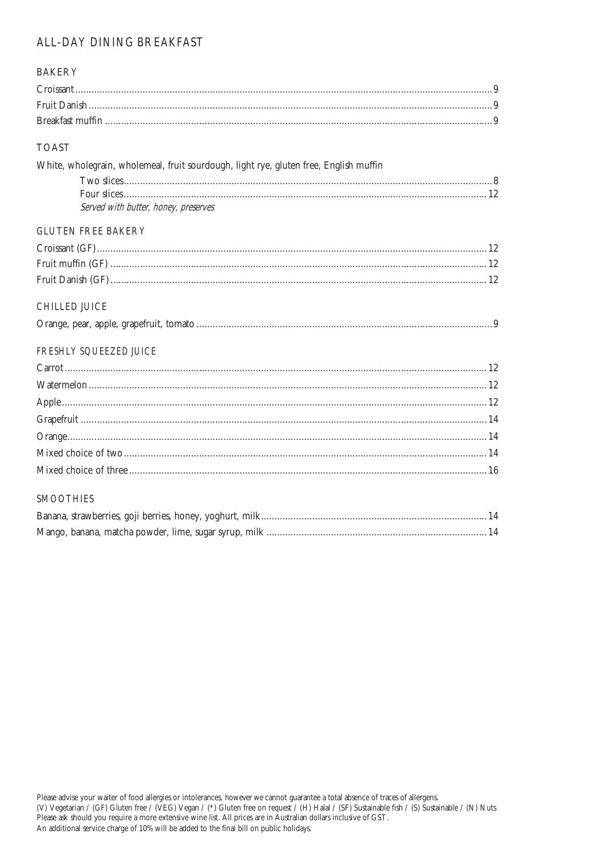## ALL-DAY DINING BREAKFAST

| <b>BAKERY</b>                                                                         |  |
|---------------------------------------------------------------------------------------|--|
|                                                                                       |  |
|                                                                                       |  |
|                                                                                       |  |
| <b>TOAST</b>                                                                          |  |
| White, wholegrain, wholemeal, fruit sourdough, light rye, gluten free, English muffin |  |
|                                                                                       |  |
| Served with butter, honey, preserves                                                  |  |
| <b>GLUTEN FREE BAKERY</b>                                                             |  |
|                                                                                       |  |
|                                                                                       |  |
|                                                                                       |  |
| CHILLED JUICE                                                                         |  |
|                                                                                       |  |
| FRESHLY SQUEEZED JUICE                                                                |  |
|                                                                                       |  |
|                                                                                       |  |
|                                                                                       |  |
|                                                                                       |  |
|                                                                                       |  |
|                                                                                       |  |
|                                                                                       |  |
| <b>SMOOTHIES</b>                                                                      |  |
|                                                                                       |  |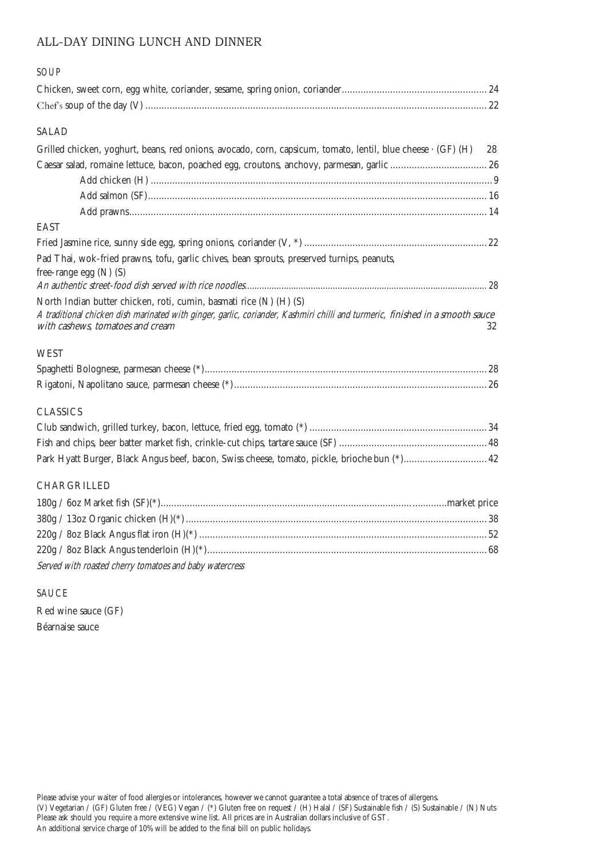### ALL-DAY DINING LUNCH AND DINNER

| SOUP                                                                                                                                                                                                                                    |    |
|-----------------------------------------------------------------------------------------------------------------------------------------------------------------------------------------------------------------------------------------|----|
|                                                                                                                                                                                                                                         |    |
|                                                                                                                                                                                                                                         |    |
| SALAD                                                                                                                                                                                                                                   |    |
| Grilled chicken, yoghurt, beans, red onions, avocado, corn, capsicum, tomato, lentil, blue cheese · (GF) (H)                                                                                                                            | 28 |
|                                                                                                                                                                                                                                         |    |
|                                                                                                                                                                                                                                         |    |
|                                                                                                                                                                                                                                         |    |
|                                                                                                                                                                                                                                         |    |
| EAST                                                                                                                                                                                                                                    |    |
|                                                                                                                                                                                                                                         |    |
| Pad Thai, wok-fried prawns, tofu, garlic chives, bean sprouts, preserved turnips, peanuts,<br>free-range egg (N) (S)                                                                                                                    |    |
|                                                                                                                                                                                                                                         |    |
| North Indian butter chicken, roti, cumin, basmati rice (N) (H) (S)<br>A traditional chicken dish marinated with ginger, garlic, coriander, Kashmiri chilli and turmeric, finished in a smooth sauce<br>with cashews, tomatoes and cream | 32 |
| WEST                                                                                                                                                                                                                                    |    |
|                                                                                                                                                                                                                                         |    |
|                                                                                                                                                                                                                                         |    |
| <b>CLASSICS</b>                                                                                                                                                                                                                         |    |
|                                                                                                                                                                                                                                         |    |
|                                                                                                                                                                                                                                         |    |
| Park Hyatt Burger, Black Angus beef, bacon, Swiss cheese, tomato, pickle, brioche bun (*) 42                                                                                                                                            |    |
| CHARGRILLED                                                                                                                                                                                                                             |    |
|                                                                                                                                                                                                                                         |    |
|                                                                                                                                                                                                                                         |    |
|                                                                                                                                                                                                                                         |    |
|                                                                                                                                                                                                                                         |    |
| Served with roasted cherry tomatoes and baby watercress                                                                                                                                                                                 |    |

SAUCE

Red wine sauce (GF) Béarnaise sauce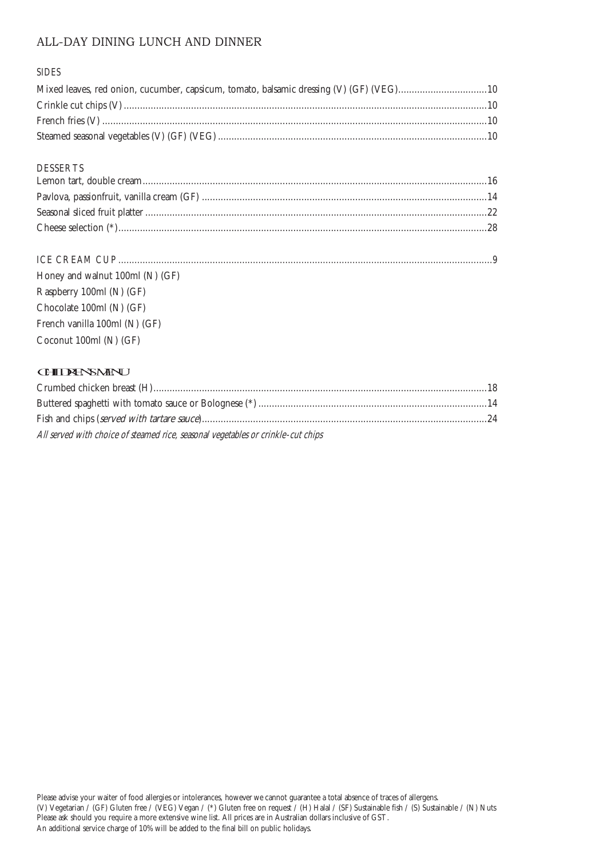### ALL-DAY DINING LUNCH AND DINNER

#### SIDES

#### DESSERTS

| Honey and walnut 100ml (N) (GF) |  |
|---------------------------------|--|
| $P3$ charry 100ml $(NI)$ $(SF)$ |  |

Raspberry 100ml (N) (GF) Chocolate 100ml (N) (GF) French vanilla 100ml (N) (GF) Coconut 100ml (N) (GF)

#### **CHIDENSMENU**

| All served with choice of steamed rice, seasonal vegetables or crinkle-cut chips |  |
|----------------------------------------------------------------------------------|--|